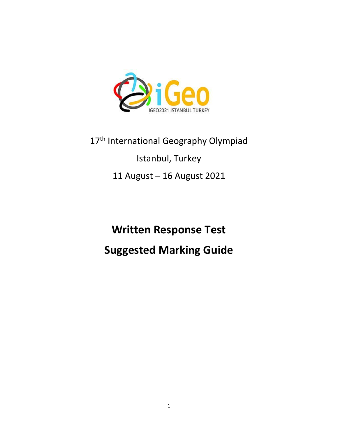

# 17<sup>th</sup> International Geography Olympiad

# Istanbul, Turkey

# 11 August – 16 August 2021

# **Written Response Test Suggested Marking Guide**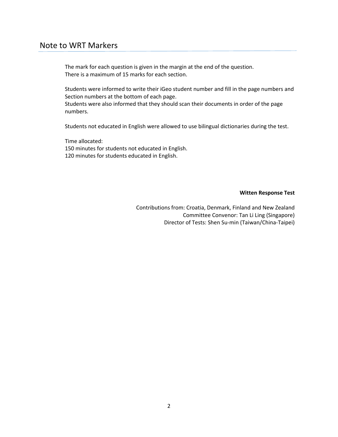# Note to WRT Markers

The mark for each question is given in the margin at the end of the question. There is a maximum of 15 marks for each section.

Students were informed to write their iGeo student number and fill in the page numbers and Section numbers at the bottom of each page.

Students were also informed that they should scan their documents in order of the page numbers.

Students not educated in English were allowed to use bilingual dictionaries during the test.

Time allocated: 150 minutes for students not educated in English. 120 minutes for students educated in English.

#### **Witten Response Test**

Contributions from: Croatia, Denmark, Finland and New Zealand Committee Convenor: Tan Li Ling (Singapore) Director of Tests: Shen Su-min (Taiwan/China-Taipei)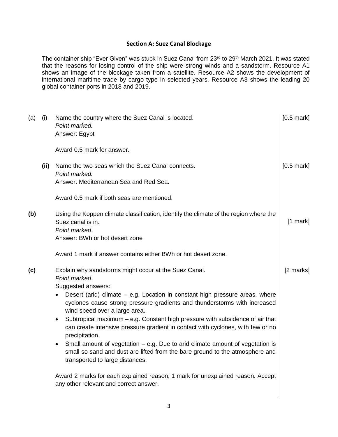#### **Section A: Suez Canal Blockage**

The container ship "Ever Given" was stuck in Suez Canal from 23<sup>rd</sup> to 29<sup>th</sup> March 2021. It was stated that the reasons for losing control of the ship were strong winds and a sandstorm. Resource A1 shows an image of the blockage taken from a satellite. Resource A2 shows the development of international maritime trade by cargo type in selected years. Resource A3 shows the leading 20 global container ports in 2018 and 2019.

| (a) | (i)  | Name the country where the Suez Canal is located.<br>Point marked.<br>Answer: Egypt                                                                                                                | $[0.5$ mark] |
|-----|------|----------------------------------------------------------------------------------------------------------------------------------------------------------------------------------------------------|--------------|
|     |      | Award 0.5 mark for answer.                                                                                                                                                                         |              |
|     | (ii) | Name the two seas which the Suez Canal connects.<br>Point marked.                                                                                                                                  | $[0.5$ mark] |
|     |      | Answer: Mediterranean Sea and Red Sea.                                                                                                                                                             |              |
|     |      | Award 0.5 mark if both seas are mentioned.                                                                                                                                                         |              |
| (b) |      | Using the Koppen climate classification, identify the climate of the region where the<br>Suez canal is in.<br>Point marked.<br>Answer: BWh or hot desert zone                                      | [1 mark]     |
|     |      |                                                                                                                                                                                                    |              |
|     |      | Award 1 mark if answer contains either BWh or hot desert zone.                                                                                                                                     |              |
| (c) |      | Explain why sandstorms might occur at the Suez Canal.<br>Point marked.<br>Suggested answers:                                                                                                       | [2 marks]    |
|     |      | Desert (arid) climate - e.g. Location in constant high pressure areas, where<br>cyclones cause strong pressure gradients and thunderstorms with increased<br>wind speed over a large area.         |              |
|     |      | Subtropical maximum – e.g. Constant high pressure with subsidence of air that<br>$\bullet$<br>can create intensive pressure gradient in contact with cyclones, with few or no<br>precipitation.    |              |
|     |      | Small amount of vegetation $-$ e.g. Due to arid climate amount of vegetation is<br>small so sand and dust are lifted from the bare ground to the atmosphere and<br>transported to large distances. |              |
|     |      | Award 2 marks for each explained reason; 1 mark for unexplained reason. Accept<br>any other relevant and correct answer.                                                                           |              |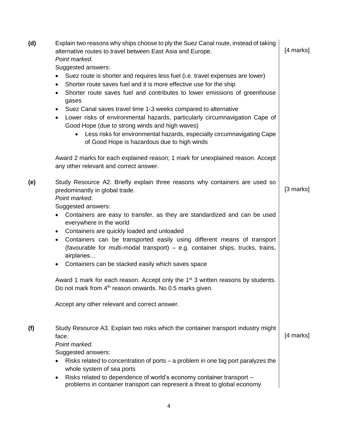| (d) | Explain two reasons why ships choose to ply the Suez Canal route, instead of taking<br>alternative routes to travel between East Asia and Europe.<br>Point marked.<br>Suggested answers:                                                                                                                                                                | [4 marks] |
|-----|---------------------------------------------------------------------------------------------------------------------------------------------------------------------------------------------------------------------------------------------------------------------------------------------------------------------------------------------------------|-----------|
|     | Suez route is shorter and requires less fuel (i.e. travel expenses are lower)<br>Shorter route saves fuel and it is more effective use for the ship<br>$\bullet$<br>Shorter route saves fuel and contributes to lower emissions of greenhouse<br>$\bullet$<br>gases                                                                                     |           |
|     | Suez Canal saves travel time 1-3 weeks compared to alternative<br>٠<br>Lower risks of environmental hazards, particularly circumnavigation Cape of<br>$\bullet$<br>Good Hope (due to strong winds and high waves)<br>Less risks for environmental hazards, especially circumnavigating Cape<br>$\bullet$<br>of Good Hope is hazardous due to high winds |           |
|     | Award 2 marks for each explained reason; 1 mark for unexplained reason. Accept<br>any other relevant and correct answer.                                                                                                                                                                                                                                |           |
| (e) | Study Resource A2. Briefly explain three reasons why containers are used so<br>predominantly in global trade.<br>Point marked.<br>Suggested answers:                                                                                                                                                                                                    | [3 marks] |
|     | Containers are easy to transfer, as they are standardized and can be used<br>everywhere in the world<br>Containers are quickly loaded and unloaded<br>$\bullet$                                                                                                                                                                                         |           |
|     | Containers can be transported easily using different means of transport<br>$\bullet$<br>(favourable for multi-modal transport) – e.g. container ships, trucks, trains,<br>airplanes                                                                                                                                                                     |           |
|     | Containers can be stacked easily which saves space<br>$\bullet$                                                                                                                                                                                                                                                                                         |           |
|     | Award 1 mark for each reason. Accept only the 1 <sup>st</sup> 3 written reasons by students.<br>Do not mark from 4 <sup>th</sup> reason onwards. No 0.5 marks given.                                                                                                                                                                                    |           |
|     | Accept any other relevant and correct answer.                                                                                                                                                                                                                                                                                                           |           |
| (f) | Study Resource A3. Explain two risks which the container transport industry might<br>face.<br>Point marked.<br>Suggested answers:                                                                                                                                                                                                                       | [4 marks] |
|     | Risks related to concentration of ports – a problem in one big port paralyzes the                                                                                                                                                                                                                                                                       |           |
|     | whole system of sea ports<br>Risks related to dependence of world's economy container transport -<br>problems in container transport can represent a threat to global economy                                                                                                                                                                           |           |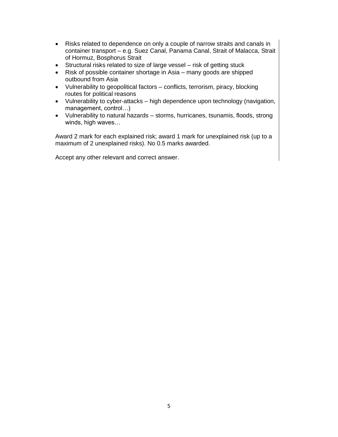- Risks related to dependence on only a couple of narrow straits and canals in container transport – e.g. Suez Canal, Panama Canal, Strait of Malacca, Strait of Hormuz, Bosphorus Strait
- Structural risks related to size of large vessel risk of getting stuck
- Risk of possible container shortage in Asia many goods are shipped outbound from Asia
- Vulnerability to geopolitical factors conflicts, terrorism, piracy, blocking routes for political reasons
- Vulnerability to cyber-attacks high dependence upon technology (navigation, management, control…)
- Vulnerability to natural hazards storms, hurricanes, tsunamis, floods, strong winds, high waves…

Award 2 mark for each explained risk; award 1 mark for unexplained risk (up to a maximum of 2 unexplained risks). No 0.5 marks awarded.

Accept any other relevant and correct answer.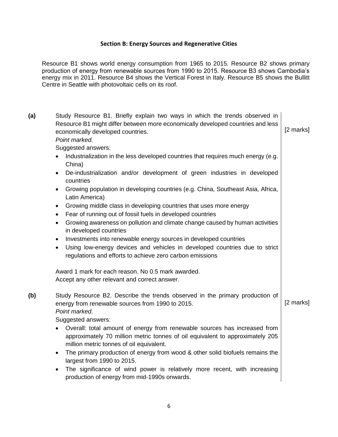#### **Section B: Energy Sources and Regenerative Cities**

Resource B1 shows world energy consumption from 1965 to 2015. Resource B2 shows primary production of energy from renewable sources from 1990 to 2015. Resource B3 shows Cambodia's energy mix in 2011. Resource B4 shows the Vertical Forest in Italy. Resource B5 shows the Bullitt Centre in Seattle with photovoltaic cells on its roof.

| (a) | Study Resource B1. Briefly explain two ways in which the trends observed in<br>Resource B1 might differ between more economically developed countries and less<br>economically developed countries.<br>Point marked.<br>Suggested answers: | [2 marks] |
|-----|--------------------------------------------------------------------------------------------------------------------------------------------------------------------------------------------------------------------------------------------|-----------|
|     | Industrialization in the less developed countries that requires much energy (e.g.<br>China)                                                                                                                                                |           |
|     | De-industrialization and/or development of green industries in developed<br>$\bullet$<br>countries                                                                                                                                         |           |
|     | Growing population in developing countries (e.g. China, Southeast Asia, Africa,<br>$\bullet$<br>Latin America)                                                                                                                             |           |
|     | Growing middle class in developing countries that uses more energy<br>$\bullet$                                                                                                                                                            |           |
|     | Fear of running out of fossil fuels in developed countries<br>$\bullet$<br>Growing awareness on pollution and climate change caused by human activities<br>$\bullet$                                                                       |           |
|     | in developed countries                                                                                                                                                                                                                     |           |
|     | Investments into renewable energy sources in developed countries                                                                                                                                                                           |           |
|     | Using low-energy devices and vehicles in developed countries due to strict<br>$\bullet$<br>regulations and efforts to achieve zero carbon emissions                                                                                        |           |
|     | Award 1 mark for each reason. No 0.5 mark awarded.                                                                                                                                                                                         |           |
|     | Accept any other relevant and correct answer.                                                                                                                                                                                              |           |
| (b) | Study Resource B2. Describe the trends observed in the primary production of<br>energy from renewable sources from 1990 to 2015.<br>Point marked.<br>Suggested answers:                                                                    | [2 marks] |
|     | • Overall: total amount of energy from renewable sources has increased from<br>approximately 70 million metric tonnes of oil equivalent to approximately 205<br>million metric tonnes of oil equivalent.                                   |           |
|     | The primary production of energy from wood & other solid biofuels remains the<br>$\bullet$<br>largest from 1990 to 2015.                                                                                                                   |           |
|     | The significance of wind power is relatively more recent, with increasing<br>$\bullet$<br>production of energy from mid-1990s onwards.                                                                                                     |           |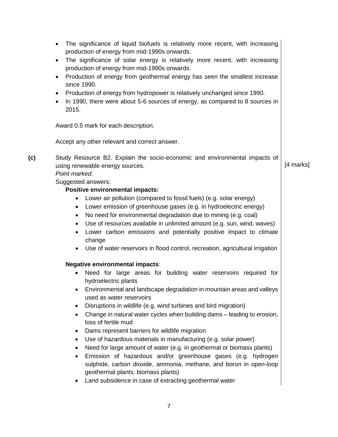- The significance of liquid biofuels is relatively more recent, with increasing production of energy from mid-1990s onwards.
- The significance of solar energy is relatively more recent, with increasing production of energy from mid-1990s onwards.
- Production of energy from geothermal energy has seen the smallest increase since 1990.
- Production of energy from hydropower is relatively unchanged since 1990.
- In 1990, there were about 5-6 sources of energy, as compared to 8 sources in 2015.

Award 0.5 mark for each description.

Accept any other relevant and correct answer.

**(c)** Study Resource B2. Explain the socio-economic and environmental impacts of using renewable energy sources. The same state of the state of the state of the state of the state of the state of the state of the state of the state of the state of the state of the state of the state of the state of the

## *Point marked*.

Suggested answers:

#### **Positive environmental impacts:**

- Lower air pollution (compared to fossil fuels) (e.g. solar energy)
- Lower emission of greenhouse gases (e.g. in hydroelectric energy)
- No need for environmental degradation due to mining (e.g. coal)
- Use of resources available in unlimited amount (e.g. sun, wind, waves)
- Lower carbon emissions and potentially positive impact to climate change
- Use of water reservoirs in flood control, recreation, agricultural irrigation

# **Negative environmental impacts**:

- Need for large areas for building water reservoirs required for hydroelectric plants
- Environmental and landscape degradation in mountain areas and valleys used as water reservoirs
- Disruptions in wildlife (e.g. wind turbines and bird migration)
- Change in natural water cycles when building dams leading to erosion, loss of fertile mud
- Dams represent barriers for wildlife migration
- Use of hazardous materials in manufacturing (e.g. solar power)
- Need for large amount of water (e.g. in geothermal or biomass plants)
- Emission of hazardous and/or greenhouse gases (e.g. hydrogen sulphide, carbon dioxide, ammonia, methane, and boron in open-loop geothermal plants; biomass plants)
- Land subsidence in case of extracting geothermal water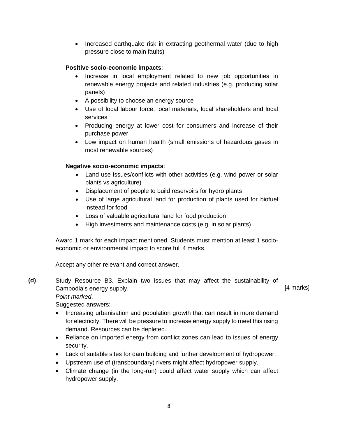• Increased earthquake risk in extracting geothermal water (due to high pressure close to main faults)

## **Positive socio-economic impacts**:

- Increase in local employment related to new job opportunities in renewable energy projects and related industries (e.g. producing solar panels)
- A possibility to choose an energy source
- Use of local labour force, local materials, local shareholders and local services
- Producing energy at lower cost for consumers and increase of their purchase power
- Low impact on human health (small emissions of hazardous gases in most renewable sources)

# **Negative socio-economic impacts**:

- Land use issues/conflicts with other activities (e.g. wind power or solar plants vs agriculture)
- Displacement of people to build reservoirs for hydro plants
- Use of large agricultural land for production of plants used for biofuel instead for food
- Loss of valuable agricultural land for food production
- High investments and maintenance costs (e.g. in solar plants)

Award 1 mark for each impact mentioned. Students must mention at least 1 socioeconomic or environmental impact to score full 4 marks.

Accept any other relevant and correct answer.

**(d)** Study Resource B3. Explain two issues that may affect the sustainability of Cambodia's energy supply. The same of the state of the state of the state of the state of the state of the state of the state of the state of the state of the state of the state of the state of the state of the state of th

*Point marked*.

Suggested answers:

- Increasing urbanisation and population growth that can result in more demand for electricity. There will be pressure to increase energy supply to meet this rising demand. Resources can be depleted.
- Reliance on imported energy from conflict zones can lead to issues of energy security.
- Lack of suitable sites for dam building and further development of hydropower.
- Upstream use of (transboundary) rivers might affect hydropower supply.
- Climate change (in the long-run) could affect water supply which can affect hydropower supply.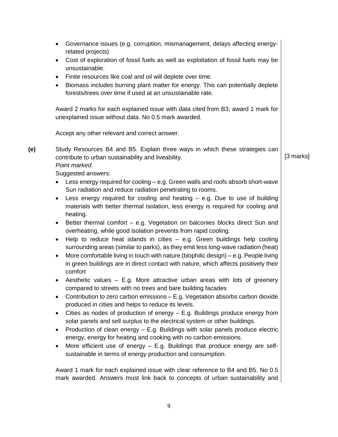- Governance issues (e.g. corruption, mismanagement, delays affecting energyrelated projects)
- Cost of exploration of fossil fuels as well as exploitation of fossil fuels may be unsustainable.
- Finite resources like coal and oil will deplete over time.
- Biomass includes burning plant matter for energy. This can potentially deplete forests/trees over time if used at an unsustainable rate.

Award 2 marks for each explained issue with data cited from B3; award 1 mark for unexplained issue without data. No 0.5 mark awarded.

Accept any other relevant and correct answer.

**(e)** Study Resources B4 and B5. Explain three ways in which these strategies can contribute to urban sustainability and liveability. **Example 20** and  $\begin{bmatrix} 3 \text{ marks} \end{bmatrix}$ 

*Point marked*.

Suggested answers:

- Less energy required for cooling e.g. Green walls and roofs absorb short-wave Sun radiation and reduce radiation penetrating to rooms.
- $\bullet$  Less energy required for cooling and heating  $-$  e.g. Due to use of building materials with better thermal isolation, less energy is required for cooling and heating.
- Better thermal comfort e.g. Vegetation on balconies blocks direct Sun and overheating, while good isolation prevents from rapid cooling.
- $\bullet$  Help to reduce heat islands in cities  $-$  e.g. Green buildings help cooling surrounding areas (similar to parks), as they emit less long-wave radiation (heat)
- $\bullet$  More comfortable living in touch with nature (biophilic design) e.g. People living in green buildings are in direct contact with nature, which affects positively their comfort
- Aesthetic values E.g. More attractive urban areas with lots of greenery compared to streets with no trees and bare building facades
- Contribution to zero carbon emissions E.g. Vegetation absorbs carbon dioxide produced in cities and helps to reduce its levels.
- Cities as nodes of production of energy E.g. Buildings produce energy from solar panels and sell surplus to the electrical system or other buildings.
- Production of clean energy  $-$  E.g. Buildings with solar panels produce electric energy, energy for heating and cooking with no carbon emissions.
- More efficient use of energy E.g. Buildings that produce energy are selfsustainable in terms of energy production and consumption.

Award 1 mark for each explained issue with clear reference to B4 and B5. No 0.5 mark awarded. Answers must link back to concepts of urban sustainability and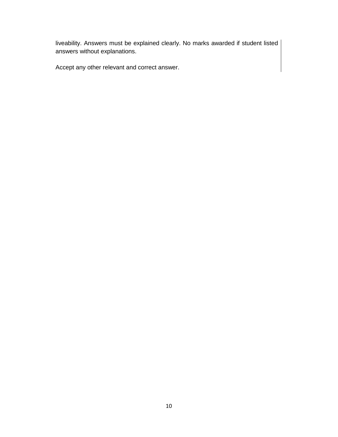liveability. Answers must be explained clearly. No marks awarded if student listed answers without explanations.

Accept any other relevant and correct answer.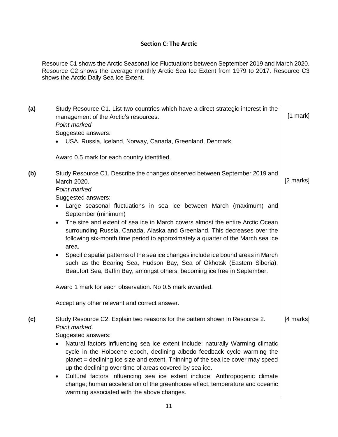# **Section C: The Arctic**

Resource C1 shows the Arctic Seasonal Ice Fluctuations between September 2019 and March 2020. Resource C2 shows the average monthly Arctic Sea Ice Extent from 1979 to 2017. Resource C3 shows the Arctic Daily Sea Ice Extent.

| (a) | Study Resource C1. List two countries which have a direct strategic interest in the<br>management of the Arctic's resources.<br>Point marked                                                                                                                                                             | $[1$ mark] |
|-----|----------------------------------------------------------------------------------------------------------------------------------------------------------------------------------------------------------------------------------------------------------------------------------------------------------|------------|
|     | Suggested answers:<br>• USA, Russia, Iceland, Norway, Canada, Greenland, Denmark                                                                                                                                                                                                                         |            |
|     | Award 0.5 mark for each country identified.                                                                                                                                                                                                                                                              |            |
| (b) | Study Resource C1. Describe the changes observed between September 2019 and<br>March 2020.<br>Point marked<br>Suggested answers:                                                                                                                                                                         | [2 marks]  |
|     | Large seasonal fluctuations in sea ice between March (maximum) and<br>September (minimum)                                                                                                                                                                                                                |            |
|     | The size and extent of sea ice in March covers almost the entire Arctic Ocean<br>$\bullet$<br>surrounding Russia, Canada, Alaska and Greenland. This decreases over the<br>following six-month time period to approximately a quarter of the March sea ice<br>area.                                      |            |
|     | Specific spatial patterns of the sea ice changes include ice bound areas in March<br>٠<br>such as the Bearing Sea, Hudson Bay, Sea of Okhotsk (Eastern Siberia),<br>Beaufort Sea, Baffin Bay, amongst others, becoming ice free in September.                                                            |            |
|     | Award 1 mark for each observation. No 0.5 mark awarded.                                                                                                                                                                                                                                                  |            |
|     | Accept any other relevant and correct answer.                                                                                                                                                                                                                                                            |            |
| (c) | Study Resource C2. Explain two reasons for the pattern shown in Resource 2.<br>Point marked.<br>Suggested answers:                                                                                                                                                                                       | [4 marks]  |
|     | Natural factors influencing sea ice extent include: naturally Warming climatic<br>cycle in the Holocene epoch, declining albedo feedback cycle warming the<br>planet = declining ice size and extent. Thinning of the sea ice cover may speed<br>up the declining over time of areas covered by sea ice. |            |
|     | Cultural factors influencing sea ice extent include: Anthropogenic climate<br>$\bullet$<br>change; human acceleration of the greenhouse effect, temperature and oceanic<br>warming associated with the above changes.                                                                                    |            |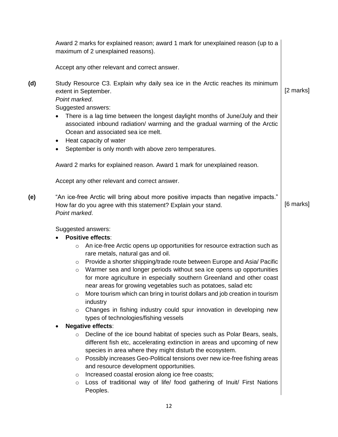|     | Award 2 marks for explained reason; award 1 mark for unexplained reason (up to a<br>maximum of 2 unexplained reasons).                                                                                                                                                                                                                                                                                                                                                                                                                                                                                                                                                                                                                                                                                                                                                                                                                                                                                                                                                                                                                                                                                                                                                                       |           |
|-----|----------------------------------------------------------------------------------------------------------------------------------------------------------------------------------------------------------------------------------------------------------------------------------------------------------------------------------------------------------------------------------------------------------------------------------------------------------------------------------------------------------------------------------------------------------------------------------------------------------------------------------------------------------------------------------------------------------------------------------------------------------------------------------------------------------------------------------------------------------------------------------------------------------------------------------------------------------------------------------------------------------------------------------------------------------------------------------------------------------------------------------------------------------------------------------------------------------------------------------------------------------------------------------------------|-----------|
|     | Accept any other relevant and correct answer.                                                                                                                                                                                                                                                                                                                                                                                                                                                                                                                                                                                                                                                                                                                                                                                                                                                                                                                                                                                                                                                                                                                                                                                                                                                |           |
| (d) | Study Resource C3. Explain why daily sea ice in the Arctic reaches its minimum<br>extent in September.<br>Point marked.<br>Suggested answers:<br>There is a lag time between the longest daylight months of June/July and their<br>associated inbound radiation/ warming and the gradual warming of the Arctic<br>Ocean and associated sea ice melt.<br>Heat capacity of water<br>$\bullet$<br>September is only month with above zero temperatures.<br>٠                                                                                                                                                                                                                                                                                                                                                                                                                                                                                                                                                                                                                                                                                                                                                                                                                                    | [2 marks] |
|     | Award 2 marks for explained reason. Award 1 mark for unexplained reason.                                                                                                                                                                                                                                                                                                                                                                                                                                                                                                                                                                                                                                                                                                                                                                                                                                                                                                                                                                                                                                                                                                                                                                                                                     |           |
|     | Accept any other relevant and correct answer.                                                                                                                                                                                                                                                                                                                                                                                                                                                                                                                                                                                                                                                                                                                                                                                                                                                                                                                                                                                                                                                                                                                                                                                                                                                |           |
| (e) | "An ice-free Arctic will bring about more positive impacts than negative impacts."<br>How far do you agree with this statement? Explain your stand.<br>Point marked.                                                                                                                                                                                                                                                                                                                                                                                                                                                                                                                                                                                                                                                                                                                                                                                                                                                                                                                                                                                                                                                                                                                         | [6 marks] |
|     | Suggested answers:<br><b>Positive effects:</b><br>An ice-free Arctic opens up opportunities for resource extraction such as<br>$\circ$<br>rare metals, natural gas and oil.<br>Provide a shorter shipping/trade route between Europe and Asia/ Pacific<br>$\circ$<br>Warmer sea and longer periods without sea ice opens up opportunities<br>$\circ$<br>for more agriculture in especially southern Greenland and other coast<br>near areas for growing vegetables such as potatoes, salad etc<br>More tourism which can bring in tourist dollars and job creation in tourism<br>$\circ$<br>industry<br>Changes in fishing industry could spur innovation in developing new<br>$\circ$<br>types of technologies/fishing vessels<br><b>Negative effects:</b><br>Decline of the ice bound habitat of species such as Polar Bears, seals,<br>$\circ$<br>different fish etc, accelerating extinction in areas and upcoming of new<br>species in area where they might disturb the ecosystem.<br>Possibly increases Geo-Political tensions over new ice-free fishing areas<br>$\circ$<br>and resource development opportunities.<br>Increased coastal erosion along ice free coasts;<br>$\circ$<br>Loss of traditional way of life/ food gathering of Inuit/ First Nations<br>$\circ$<br>Peoples. |           |
|     | 12                                                                                                                                                                                                                                                                                                                                                                                                                                                                                                                                                                                                                                                                                                                                                                                                                                                                                                                                                                                                                                                                                                                                                                                                                                                                                           |           |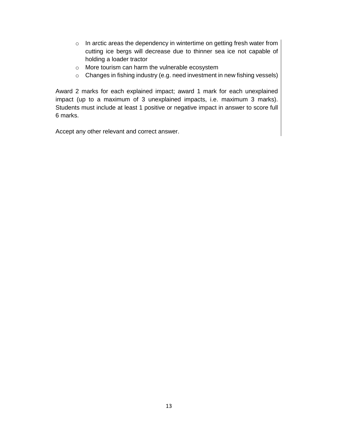- o In arctic areas the dependency in wintertime on getting fresh water from cutting ice bergs will decrease due to thinner sea ice not capable of holding a loader tractor
- o More tourism can harm the vulnerable ecosystem
- o Changes in fishing industry (e.g. need investment in new fishing vessels)

Award 2 marks for each explained impact; award 1 mark for each unexplained impact (up to a maximum of 3 unexplained impacts, i.e. maximum 3 marks). Students must include at least 1 positive or negative impact in answer to score full 6 marks.

Accept any other relevant and correct answer.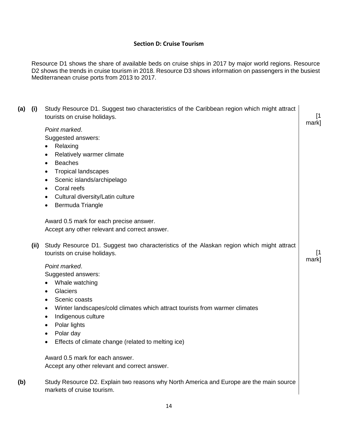## **Section D: Cruise Tourism**

Resource D1 shows the share of available beds on cruise ships in 2017 by major world regions. Resource D2 shows the trends in cruise tourism in 2018. Resource D3 shows information on passengers in the busiest Mediterranean cruise ports from 2013 to 2017.

| (a) | (i)  | Study Resource D1. Suggest two characteristics of the Caribbean region which might attract<br>tourists on cruise holidays.                                                                                                                                                                                                                                                                                                                                                                                    | [1<br>mark] |
|-----|------|---------------------------------------------------------------------------------------------------------------------------------------------------------------------------------------------------------------------------------------------------------------------------------------------------------------------------------------------------------------------------------------------------------------------------------------------------------------------------------------------------------------|-------------|
|     | (ii) | Point marked.<br>Suggested answers:<br>Relaxing<br>Relatively warmer climate<br>$\bullet$<br><b>Beaches</b><br>$\bullet$<br><b>Tropical landscapes</b><br>Scenic islands/archipelago<br>Coral reefs<br>$\bullet$<br>Cultural diversity/Latin culture<br>Bermuda Triangle<br>$\bullet$<br>Award 0.5 mark for each precise answer.<br>Accept any other relevant and correct answer.<br>Study Resource D1. Suggest two characteristics of the Alaskan region which might attract<br>tourists on cruise holidays. | [1          |
|     |      | Point marked.<br>Suggested answers:<br>Whale watching<br>Glaciers<br>$\bullet$<br>Scenic coasts<br>٠<br>Winter landscapes/cold climates which attract tourists from warmer climates<br>$\bullet$<br>Indigenous culture<br>$\bullet$<br>Polar lights<br>٠<br>Polar day<br>$\bullet$<br>Effects of climate change (related to melting ice)                                                                                                                                                                      | mark]       |
|     |      | Award 0.5 mark for each answer.<br>Accept any other relevant and correct answer.                                                                                                                                                                                                                                                                                                                                                                                                                              |             |
| (b) |      | Study Resource D2. Explain two reasons why North America and Europe are the main source<br>markets of cruise tourism.                                                                                                                                                                                                                                                                                                                                                                                         |             |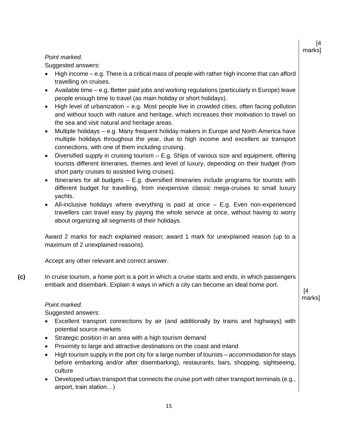#### *Point marked.*

Suggested answers:

- $\bullet$  High income e.g. There is a critical mass of people with rather high income that can afford travelling on cruises.
- Available time e.g. Better paid jobs and working regulations (particularly in Europe) leave people enough time to travel (as main holiday or short holidays).
- $\bullet$  High level of urbanization  $-$  e.g. Most people live in crowded cities, often facing pollution and without touch with nature and heritage, which increases their motivation to travel on the sea and visit natural and heritage areas.
- Multiple holidays e.g. Many frequent holiday makers in Europe and North America have multiple holidays throughout the year, due to high income and excellent air transport connections, with one of them including cruising.
- $\bullet$  Diversified supply in cruising tourism  $-$  E.g. Ships of various size and equipment, offering tourists different itineraries, themes and level of luxury, depending on their budget (from short party cruises to assisted living cruises).
- $\bullet$  Itineraries for all budgets  $-$  E.g. diversified itineraries include programs for tourists with different budget for travelling, from inexpensive classic mega-cruises to small luxury yachts.
- All-inclusive holidays where everything is paid at once E.g. Even non-experienced travellers can travel easy by paying the whole service at once, without having to worry about organizing all segments of their holidays.

Award 2 marks for each explained reason; award 1 mark for unexplained reason (up to a maximum of 2 unexplained reasons).

Accept any other relevant and correct answer.

**(c)** In cruise tourism, a home port is a port in which a cruise starts and ends, in which passengers embark and disembark. Explain 4 ways in which a city can become an ideal home port.

#### *Point marked*.

Suggested answers:

- Excellent transport connections by air (and additionally by trains and highways) with potential source markets
- Strategic position in an area with a high tourism demand
- Proximity to large and attractive destinations on the coast and inland
- High tourism supply in the port city for a large number of tourists accommodation for stays before embarking and/or after disembarking), restaurants, bars, shopping, sightseeing, culture
- Developed urban transport that connects the cruise port with other transport terminals (e.g., airport, train station…)

[4 marks]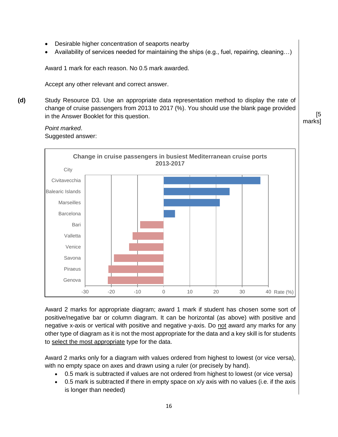- Desirable higher concentration of seaports nearby
- Availability of services needed for maintaining the ships (e.g., fuel, repairing, cleaning…)

Award 1 mark for each reason. No 0.5 mark awarded.

Accept any other relevant and correct answer.

**(d)** Study Resource D3. Use an appropriate data representation method to display the rate of change of cruise passengers from 2013 to 2017 (%). You should use the blank page provided in the Answer Booklet for this question. [5

#### *Point marked*. Suggested answer:



Award 2 marks for appropriate diagram; award 1 mark if student has chosen some sort of positive/negative bar or column diagram. It can be horizontal (as above) with positive and negative x-axis or vertical with positive and negative y-axis. Do not award any marks for any other type of diagram as it is not the most appropriate for the data and a key skill is for students to select the most appropriate type for the data.

Award 2 marks only for a diagram with values ordered from highest to lowest (or vice versa), with no empty space on axes and drawn using a ruler (or precisely by hand).

- 0.5 mark is subtracted if values are not ordered from highest to lowest (or vice versa)
- 0.5 mark is subtracted if there in empty space on x/y axis with no values (i.e. if the axis is longer than needed)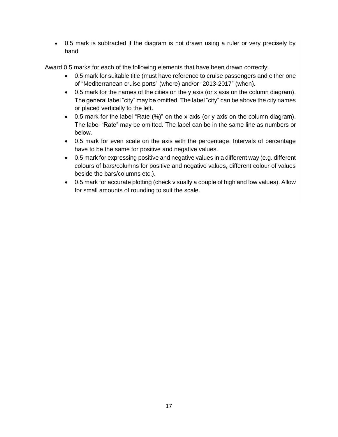0.5 mark is subtracted if the diagram is not drawn using a ruler or very precisely by hand

Award 0.5 marks for each of the following elements that have been drawn correctly:

- 0.5 mark for suitable title (must have reference to cruise passengers and either one of "Mediterranean cruise ports" (where) and/or "2013-2017" (when).
- 0.5 mark for the names of the cities on the y axis (or x axis on the column diagram). The general label "city" may be omitted. The label "city" can be above the city names or placed vertically to the left.
- 0.5 mark for the label "Rate (%)" on the x axis (or y axis on the column diagram). The label "Rate" may be omitted. The label can be in the same line as numbers or below.
- 0.5 mark for even scale on the axis with the percentage. Intervals of percentage have to be the same for positive and negative values.
- 0.5 mark for expressing positive and negative values in a different way (e.g. different colours of bars/columns for positive and negative values, different colour of values beside the bars/columns etc.).
- 0.5 mark for accurate plotting (check visually a couple of high and low values). Allow for small amounts of rounding to suit the scale.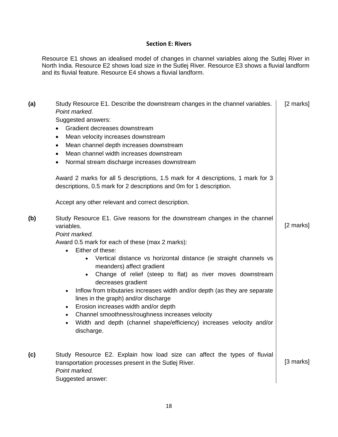#### **Section E: Rivers**

Resource E1 shows an idealised model of changes in channel variables along the Sutlej River in North India. Resource E2 shows load size in the Sutlej River. Resource E3 shows a fluvial landform and its fluvial feature. Resource E4 shows a fluvial landform.

| (a) | Study Resource E1. Describe the downstream changes in the channel variables.<br>Point marked.<br>Suggested answers:<br>Gradient decreases downstream<br>$\bullet$<br>Mean velocity increases downstream<br>$\bullet$<br>Mean channel depth increases downstream<br>$\bullet$<br>Mean channel width increases downstream<br>$\bullet$<br>Normal stream discharge increases downstream<br>$\bullet$<br>Award 2 marks for all 5 descriptions, 1.5 mark for 4 descriptions, 1 mark for 3<br>descriptions, 0.5 mark for 2 descriptions and 0m for 1 description.<br>Accept any other relevant and correct description.                                                                                                                                                       | [2 marks] |
|-----|-------------------------------------------------------------------------------------------------------------------------------------------------------------------------------------------------------------------------------------------------------------------------------------------------------------------------------------------------------------------------------------------------------------------------------------------------------------------------------------------------------------------------------------------------------------------------------------------------------------------------------------------------------------------------------------------------------------------------------------------------------------------------|-----------|
| (b) | Study Resource E1. Give reasons for the downstream changes in the channel<br>variables.<br>Point marked.<br>Award 0.5 mark for each of these (max 2 marks):<br>Either of these:<br>$\bullet$<br>Vertical distance vs horizontal distance (ie straight channels vs<br>$\bullet$<br>meanders) affect gradient<br>Change of relief (steep to flat) as river moves downstream<br>$\bullet$<br>decreases gradient<br>Inflow from tributaries increases width and/or depth (as they are separate<br>$\bullet$<br>lines in the graph) and/or discharge<br>Erosion increases width and/or depth<br>$\bullet$<br>Channel smoothness/roughness increases velocity<br>$\bullet$<br>Width and depth (channel shape/efficiency) increases velocity and/or<br>$\bullet$<br>discharge. | [2 marks] |
| (c) | Study Resource E2. Explain how load size can affect the types of fluvial<br>transportation processes present in the Sutlej River.<br>Point marked.<br>Suggested answer:                                                                                                                                                                                                                                                                                                                                                                                                                                                                                                                                                                                                 | [3 marks] |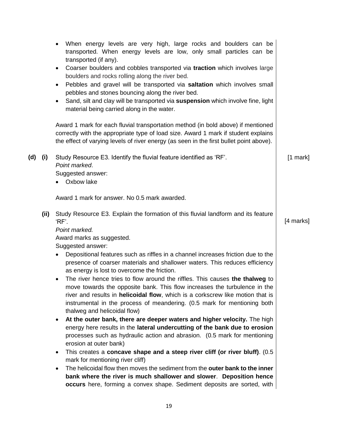|     |      | When energy levels are very high, large rocks and boulders can be<br>$\bullet$<br>transported. When energy levels are low, only small particles can be<br>transported (if any).<br>Coarser boulders and cobbles transported via traction which involves large<br>٠<br>boulders and rocks rolling along the river bed.<br>Pebbles and gravel will be transported via saltation which involves small<br>٠<br>pebbles and stones bouncing along the river bed.<br>Sand, silt and clay will be transported via suspension which involve fine, light<br>٠<br>material being carried along in the water.<br>Award 1 mark for each fluvial transportation method (in bold above) if mentioned<br>correctly with the appropriate type of load size. Award 1 mark if student explains |            |
|-----|------|------------------------------------------------------------------------------------------------------------------------------------------------------------------------------------------------------------------------------------------------------------------------------------------------------------------------------------------------------------------------------------------------------------------------------------------------------------------------------------------------------------------------------------------------------------------------------------------------------------------------------------------------------------------------------------------------------------------------------------------------------------------------------|------------|
|     |      | the effect of varying levels of river energy (as seen in the first bullet point above).                                                                                                                                                                                                                                                                                                                                                                                                                                                                                                                                                                                                                                                                                      |            |
| (d) | (i)  | Study Resource E3. Identify the fluvial feature identified as 'RF'.<br>Point marked.<br>Suggested answer:<br>• Oxbow lake                                                                                                                                                                                                                                                                                                                                                                                                                                                                                                                                                                                                                                                    | $[1$ mark] |
|     |      | Award 1 mark for answer. No 0.5 mark awarded.                                                                                                                                                                                                                                                                                                                                                                                                                                                                                                                                                                                                                                                                                                                                |            |
|     | (ii) | Study Resource E3. Explain the formation of this fluvial landform and its feature<br>'RF'.<br>Point marked.                                                                                                                                                                                                                                                                                                                                                                                                                                                                                                                                                                                                                                                                  | [4 marks]  |
|     |      | Award marks as suggested.                                                                                                                                                                                                                                                                                                                                                                                                                                                                                                                                                                                                                                                                                                                                                    |            |
|     |      | Suggested answer:                                                                                                                                                                                                                                                                                                                                                                                                                                                                                                                                                                                                                                                                                                                                                            |            |
|     |      | Depositional features such as riffles in a channel increases friction due to the<br>$\bullet$<br>presence of coarser materials and shallower waters. This reduces efficiency<br>as energy is lost to overcome the friction.                                                                                                                                                                                                                                                                                                                                                                                                                                                                                                                                                  |            |
|     |      | The river hence tries to flow around the riffles. This causes the thalweg to<br>٠<br>move towards the opposite bank. This flow increases the turbulence in the<br>river and results in helicoidal flow, which is a corkscrew like motion that is<br>instrumental in the process of meandering. (0.5 mark for mentioning both<br>thalweg and helicoidal flow)                                                                                                                                                                                                                                                                                                                                                                                                                 |            |
|     |      | At the outer bank, there are deeper waters and higher velocity. The high<br>٠<br>energy here results in the lateral undercutting of the bank due to erosion<br>processes such as hydraulic action and abrasion. (0.5 mark for mentioning                                                                                                                                                                                                                                                                                                                                                                                                                                                                                                                                     |            |
|     |      | erosion at outer bank)<br>This creates a concave shape and a steep river cliff (or river bluff). (0.5)<br>٠<br>mark for mentioning river cliff)                                                                                                                                                                                                                                                                                                                                                                                                                                                                                                                                                                                                                              |            |
|     |      | The helicoidal flow then moves the sediment from the outer bank to the inner<br>$\bullet$<br>bank where the river is much shallower and slower. Deposition hence<br>occurs here, forming a convex shape. Sediment deposits are sorted, with                                                                                                                                                                                                                                                                                                                                                                                                                                                                                                                                  |            |
|     |      |                                                                                                                                                                                                                                                                                                                                                                                                                                                                                                                                                                                                                                                                                                                                                                              |            |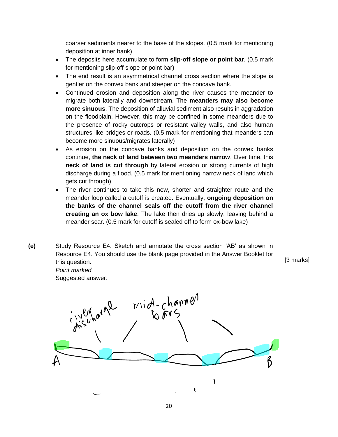coarser sediments nearer to the base of the slopes. (0.5 mark for mentioning deposition at inner bank)

- The deposits here accumulate to form **slip-off slope or point bar**. (0.5 mark for mentioning slip-off slope or point bar)
- The end result is an asymmetrical channel cross section where the slope is gentler on the convex bank and steeper on the concave bank.
- Continued erosion and deposition along the river causes the meander to migrate both laterally and downstream. The **meanders may also become more sinuous**. The deposition of alluvial sediment also results in aggradation on the floodplain. However, this may be confined in some meanders due to the presence of rocky outcrops or resistant valley walls, and also human structures like bridges or roads. (0.5 mark for mentioning that meanders can become more sinuous/migrates laterally)
- As erosion on the concave banks and deposition on the convex banks continue, **the neck of land between two meanders narrow**. Over time, this **neck of land is cut through** by lateral erosion or strong currents of high discharge during a flood. (0.5 mark for mentioning narrow neck of land which gets cut through)
- The river continues to take this new, shorter and straighter route and the meander loop called a cutoff is created. Eventually, **ongoing deposition on the banks of the channel seals off the cutoff from the river channel creating an ox bow lake**. The lake then dries up slowly, leaving behind a meander scar. (0.5 mark for cutoff is sealed off to form ox-bow lake)
- **(e)** Study Resource E4. Sketch and annotate the cross section 'AB' as shown in Resource E4. You should use the blank page provided in the Answer Booklet for this question.  $\begin{bmatrix} 3 \text{ marks} \end{bmatrix}$ *Point marked.* Suggested answer: